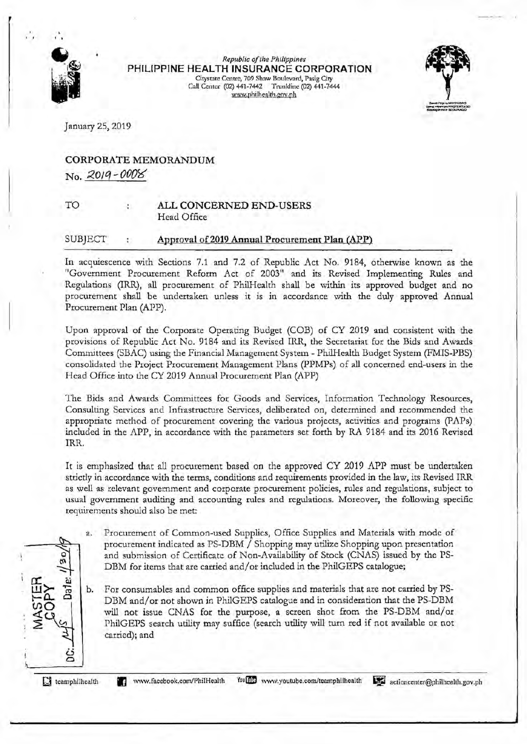

*Republic of the Philippines*  PHILIPPINE HEALTH INSURANCE CORPORATION Citystatc Centre, 709 Shaw Boulevard, Pasig City Call Center (02) 441-7442 Trunldine (02) 441-7444 www.philhenlth.goy.ph



January 25, 2019

### CORPORATE MEMORANDUM No. 2.01q *-000\$5'*

TO

### ALL CONCERNED END-USERS Head Office

#### SUBJECT Approval of 2019 Annual Procurement Plan (APP)

In acquiescence with Sections 7.1 and 7.2 of Republic Act No. 9184, otherwise known as the "Government Procurement Reform Act of 2003" and its Revised Implementing Rules and Regulations (IRR), all procurement of PhilHealth shall be within its approved budget and no procurement shall be undertaken unless it is in accordance with the duly approved Annual Procurement Plan (APP).

Upon approval of the Corporate Operating Budget (COB) of CY 2019 and consistent with the provisions of Republic Act No. 9184 and its Revised IRR, the Secretariat for the Bids and Awards Committees (SBAC) using the Financial Management System - PhilHealth Budget System (FMIS-PBS) consolidated the Project Procurement Management Plans (PPMPs) of all concerned end-users in the Head Office into the CY 2019 Annual Procurement Plan (APP)

The Bids and Awards Committees for Goods and Services, Information Technology Resources, Consulting Services and Infrastructure Services, deliberated on, determined and recommended the appropriate method of procurement covering the various projects, activities and programs (PAPs) included in the APP, in accordance with the parameters set forth by RA 9184 and its 2016 Revised IRR.

It is emphasized that ali procurement based on the approved CY 2019 APP must be undertaken strictly in accordance with the terms, conditions and requirements provided in the law, its Revised IRR as well as relevant government and corporate procurement policies, rules and regulations, subject to usual government auditing and accounting rules and regulations. Moreover, the following specific requirements should also be met:

- a. Procurement of Common-used Supplies, Office Supplies and Materials with mode of procurement indicated as PS-DBM / Shopping may utilize Shopping upon presentation and submission of Certificate of Non-Availability of Stock (CNAS) issued by the PS-DBM for items that are carried and/ or included in the PhilGEPS catalogue;
- $\overline{\mathbb{H}}$   $\geq$   $\frac{u}{\mathbb{B}}$   $\Big|$  b. For consumables and common office supplies and materials that are not carried by PS-DBM and/or not shown in PhilGEPS catalogue and in consideration that the PS-DBM will not issue CNAS for the purpose, a screen shot from the PS-DBM and/or PhilGEPS search utility may suffice (search utility will turn ted if not available or not carried); and

G teamphilhealth

ت c

ة جم

 $\leq$   $\frac{Q_{\varphi}}{Q_{\varphi}}$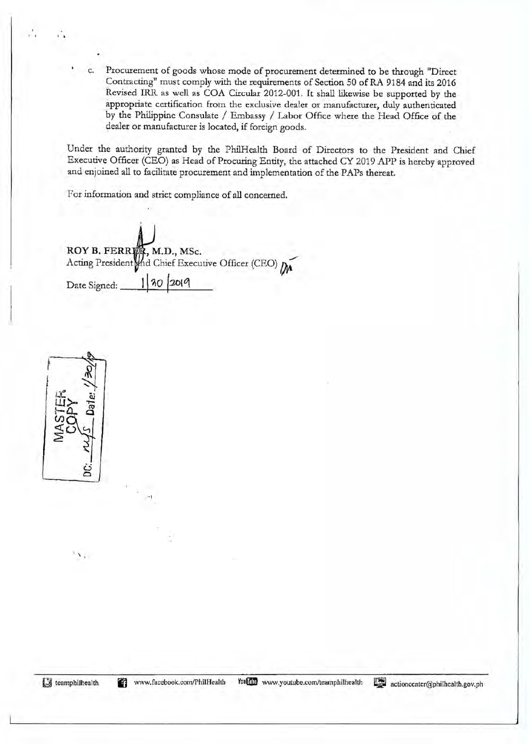c. Procurement of goods whose mode of procurement determined to be through "Direct Contracting" must comply with the requirements of Section 50 ofRA 9184 and its 2016 Revised IRR as well as COA Circular 2012-001. It shall likewise be supported by the appropriate certification from the exclusive dealer or manufacturer, duly authenticated by the Philippine Consulate / Embassy / Labor Office where the Head Office of the dealer or manufacturer is located, if foreign goods.

Under the authority granted by the PhilHealth Board of Directors to the President and Chief Executive Officer (CEO) as Head of Procuring Entity, the attached CY 2019 APP is hereby approved and enjoined all to facilitate procurement and implementation of the PAPs thereat.

For information and strict compliance of **all** concerned.

ROY B. FERRER, M.D., MSc. Acting President and Chief Executive Officer (CEO) Date Signed: **1 30 2010** 

-I



 $\ddot{\cdot}$ 

.  $\mathbf{v}_k$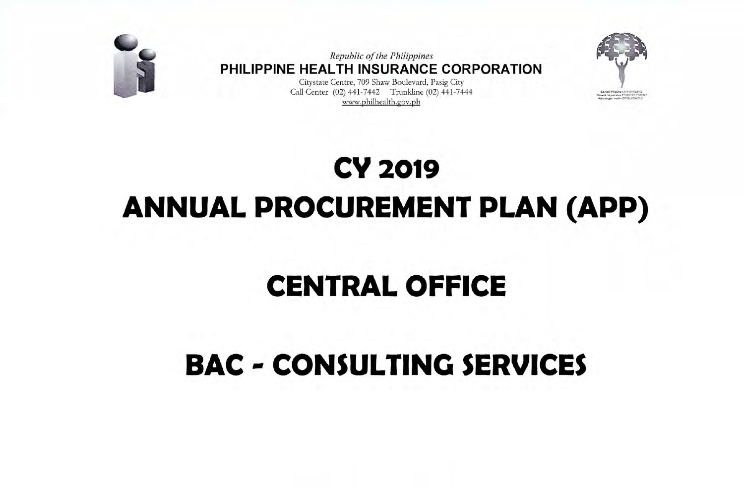

Republic of the Philippines PHILIPPINE HEALTH INSURANCE CORPORATION

Citystate Centre, 709 Shaw Boulevard, Pasig City Call Center (02) 441-7442 Trunkline (02) 441-7444 www.philhealth.gov.ph



# **CY 2019 ANNUAL PROCUREMENT PLAN (APP)**

### **CENTRAL OFFICE**

## **BAC - CONSULTING SERVICES**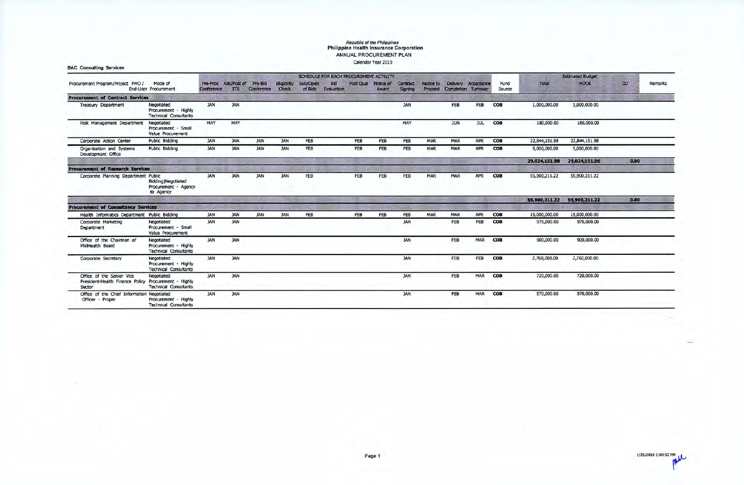### **Republic of the Philippines Philippine Health Insurance Corporation**  ANNUAL PROCUREMENT PLAN calendar Year 2019

|                                                                                             |                                                                    |            |                                    |                             |                    |          |                                  | SCHEDULE FOR EACH PROCUREMENT ACTIVITY |            |                     |            |                                         |            |                |               | <b>Estimated Budget</b> |          |         |
|---------------------------------------------------------------------------------------------|--------------------------------------------------------------------|------------|------------------------------------|-----------------------------|--------------------|----------|----------------------------------|----------------------------------------|------------|---------------------|------------|-----------------------------------------|------------|----------------|---------------|-------------------------|----------|---------|
| Procurement Program/Project PMO /                                                           | Mode of<br><b>End-User Procurement</b>                             | Conference | Pre-Proc Ads/Post of<br><b>ITB</b> | Pre-Bid<br>Conference Check | <b>Eligibility</b> | Sub/Open | <b>Bid</b><br>of Blds Evaluation | Post Qual Notice of                    | Award      | Contract<br>Signing | Notice to  | Delivery<br>Proceed Completion Turnover | Acceptance | Fund<br>Source | Total         | <b>MOOE</b>             | $\infty$ | Remarks |
| <b>Procurement of Contract Services</b>                                                     |                                                                    |            |                                    |                             |                    |          |                                  |                                        |            |                     |            |                                         |            |                |               |                         |          |         |
| <b>Treasury Department</b>                                                                  | Negotiated<br>Procurement - Highly<br><b>Technical Consultants</b> | <b>JAN</b> | <b>JAN</b>                         |                             |                    |          |                                  |                                        |            | <b>JAN</b>          |            | <b>FEB</b>                              | FEB        | COB            | 1,000,000.00  | 1,000,000.00            |          |         |
| Risk Management Department                                                                  | Negotiated<br>Procurement - Small<br>Value Procurement             | MAY        | MAY                                |                             |                    |          |                                  |                                        |            | MAY                 |            | <b>JUN</b>                              | <b>JUL</b> | COB            | 180,000.00    | 180,000.00              |          |         |
| Corporate Action Center                                                                     | Public Bidding                                                     | <b>JAN</b> | <b>JAN</b>                         | <b>JAN</b>                  | <b>JAN</b>         | FEB      |                                  | FEB                                    | <b>FEB</b> | <b>FEB</b>          | <b>MAR</b> | <b>MAR</b>                              | APR        | COB            | 22,844,151.98 | 22,844,151.98           |          |         |
| Organization and Systems<br>Developmant Office                                              | <b>Public Bidding</b>                                              | <b>JAN</b> | <b>JAN</b>                         | <b>JAN</b>                  | <b>JAN</b>         | FEB      |                                  | FEB                                    | FEB        | <b>FEB</b>          | <b>MAR</b> | <b>MAR</b>                              | APR        | <b>COB</b>     | 5,000,000.00  | 5,000,000.00            |          |         |
|                                                                                             |                                                                    |            |                                    |                             |                    |          |                                  |                                        |            |                     |            |                                         |            |                | 29,024,151.98 | 29,024,151.98           | 0.00     |         |
| <b>Procurement of Research Services</b>                                                     |                                                                    |            |                                    |                             |                    |          |                                  |                                        |            |                     |            |                                         |            |                |               |                         |          |         |
| Corporate Planning Department Public                                                        | <b>Bidding   Negotiated</b><br>Procurement - Agency<br>to Agency   | <b>JAN</b> | <b>JAN</b>                         | <b>JAN</b>                  | <b>JAN</b>         | FEB      |                                  | FEB                                    | FEB        | <b>FEB</b>          | <b>MAR</b> | <b>MAR</b>                              | APR        | COB            | 55,900,211.22 | 55,900,211.22           |          |         |
|                                                                                             |                                                                    |            |                                    |                             |                    |          |                                  |                                        |            |                     |            |                                         |            |                | 55,900,211.22 | 55,900,211.22           | 0.00     |         |
| <b>Procurement of Consultancy Services</b>                                                  |                                                                    |            |                                    |                             |                    |          |                                  |                                        |            |                     |            |                                         |            |                |               |                         |          |         |
| Health Informatics Department Public Bidding                                                |                                                                    | <b>JAN</b> | <b>JAN</b>                         | <b>JAN</b>                  | <b>JAN</b>         | FEB      |                                  | FEB                                    | FEB        | FEB                 | MAR        | <b>MAR</b>                              | APR        | COB            | 15,000,000.00 | 15,000,000.00           |          |         |
| Corporate Marketing<br>Department                                                           | Negotiated<br>Procurement - Small<br>Value Procurement             | <b>JAN</b> | <b>JAN</b>                         |                             |                    |          |                                  |                                        |            | <b>JAN</b>          |            | FEB                                     | FEB        | <b>COB</b>     | 975,000.00    | 975,000.00              |          |         |
| Office of the Chairman of<br>PhilHealth Board                                               | Negotiated<br>Procurement - Highly<br><b>Technical Consultants</b> | <b>JAN</b> | <b>JAN</b>                         |                             |                    |          |                                  |                                        |            | <b>JAN</b>          |            | FEB                                     | <b>MAR</b> | <b>COB</b>     | 900,000.00    | 900,000.00              |          |         |
| Corporate Secretary                                                                         | Negotiated<br>Procurement - Highly<br><b>Technical Consultants</b> | <b>JAN</b> | <b>JAN</b>                         |                             |                    |          |                                  |                                        |            | <b>JAN</b>          |            | FEB                                     | FEB        | <b>COB</b>     | 2,760,000.00  | 2,760,000.00            |          |         |
| Office of the Senior Vice<br>President-Health Finance Policy Procurement - Highly<br>Sector | Negotiated<br><b>Technical Consultants</b>                         | <b>JAN</b> | <b>JAN</b>                         |                             |                    |          |                                  |                                        |            | <b>JAN</b>          |            | FEB                                     | <b>MAR</b> | COB            | 720,000.00    | 720,000.00              |          |         |
| Office of the Chief Information Negotiated<br>Officer - Proper                              | Procurement - Highly<br><b>Technical Consultants</b>               | <b>JAN</b> | <b>JAN</b>                         |                             |                    |          |                                  |                                        |            | <b>JAN</b>          |            | FEB                                     | <b>MAR</b> | <b>COB</b>     | 570,000.00    | 570,000.00              |          |         |